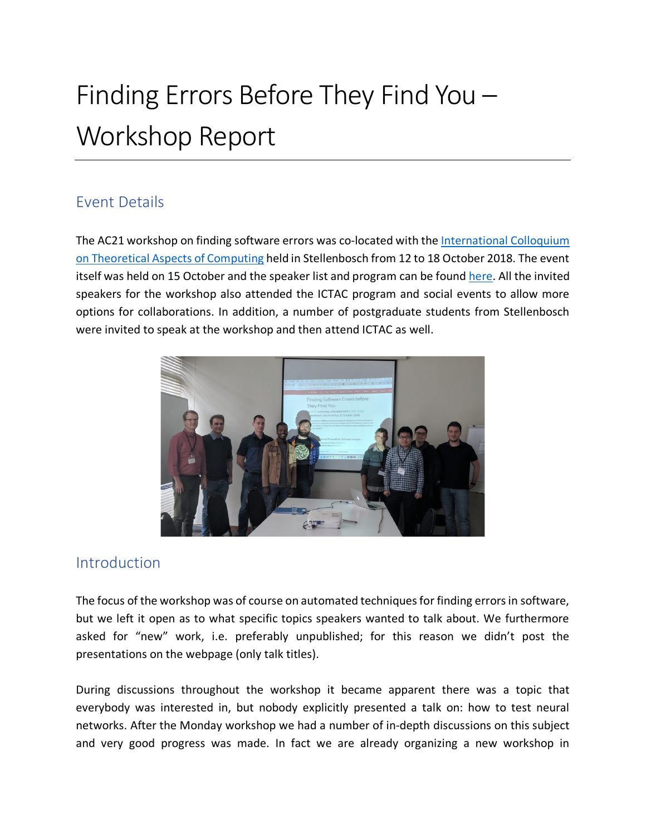# Finding Errors Before They Find You – Workshop Report

## Event Details

The AC21 workshop on finding software errors was co-located with the International Colloquium on Theoretical Aspects of Computing held in Stellenbosch from 12 to 18 October 2018. The event itself was held on 15 October and the speaker list and program can be found here. All the invited speakers for the workshop also attended the ICTAC program and social events to allow more options for collaborations. In addition, a number of postgraduate students from Stellenbosch were invited to speak at the workshop and then attend ICTAC as well.



#### Introduction

The focus of the workshop was of course on automated techniques for finding errors in software, but we left it open as to what specific topics speakers wanted to talk about. We furthermore asked for "new" work, i.e. preferably unpublished; for this reason we didn't post the presentations on the webpage (only talk titles).

During discussions throughout the workshop it became apparent there was a topic that everybody was interested in, but nobody explicitly presented a talk on: how to test neural networks. After the Monday workshop we had a number of in-depth discussions on this subject and very good progress was made. In fact we are already organizing a new workshop in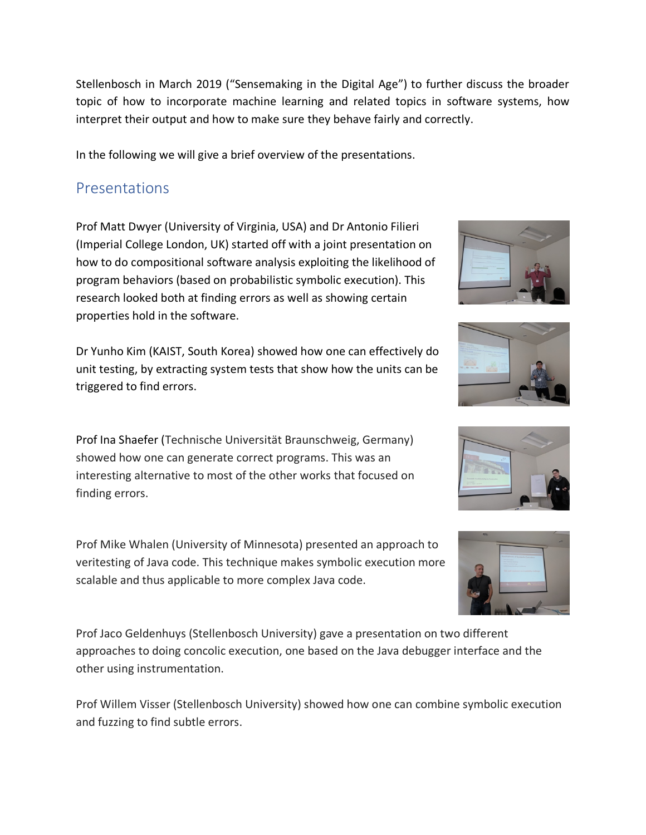Stellenbosch in March 2019 ("Sensemaking in the Digital Age") to further discuss the broader topic of how to incorporate machine learning and related topics in software systems, how interpret their output and how to make sure they behave fairly and correctly.

In the following we will give a brief overview of the presentations.

### Presentations

Prof Matt Dwyer (University of Virginia, USA) and Dr Antonio Filieri (Imperial College London, UK) started off with a joint presentation on how to do compositional software analysis exploiting the likelihood of program behaviors (based on probabilistic symbolic execution). This research looked both at finding errors as well as showing certain properties hold in the software.

Dr Yunho Kim (KAIST, South Korea) showed how one can effectively do unit testing, by extracting system tests that show how the units can be triggered to find errors.

Prof Ina Shaefer (Technische Universität Braunschweig, Germany) showed how one can generate correct programs. This was an interesting alternative to most of the other works that focused on finding errors.

Prof Mike Whalen (University of Minnesota) presented an approach to veritesting of Java code. This technique makes symbolic execution more scalable and thus applicable to more complex Java code.

Prof Jaco Geldenhuys (Stellenbosch University) gave a presentation on two different approaches to doing concolic execution, one based on the Java debugger interface and the other using instrumentation.

Prof Willem Visser (Stellenbosch University) showed how one can combine symbolic execution and fuzzing to find subtle errors.